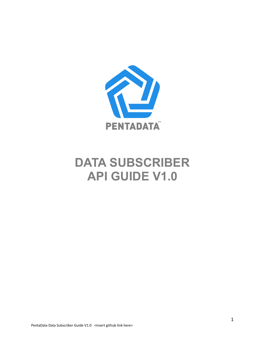

# **DATA SUBSCRIBER API GUIDE V1.0**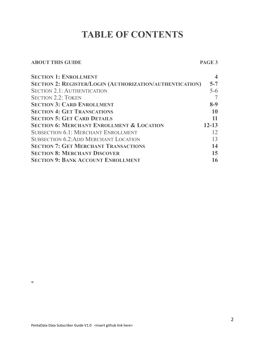# **TABLE OF CONTENTS**

### **ABOUT THIS GUIDE PAGE 3**

| <b>SECTION 1: ENROLLMENT</b>                                    |           |
|-----------------------------------------------------------------|-----------|
| <b>SECTION 2: REGISTER/LOGIN (AUTHORIZATION/AUTHENTICATION)</b> | $5 - 7$   |
| <b>SECTION 2.1: AUTHENTICATION</b>                              | $5 - 6$   |
| <b>SECTION 2.2: TOKEN</b>                                       |           |
| <b>SECTION 3: CARD ENROLLMENT</b>                               | $8-9$     |
| <b>SECTION 4: GET TRANSCATIONS</b>                              | 10        |
| <b>SECTION 5: GET CARD DETAILS</b>                              | 11        |
| <b>SECTION 6: MERCHANT ENROLLMENT &amp; LOCATION</b>            | $12 - 13$ |
| <b>SUBSECTION 6.1: MERCHANT ENROLLMENT</b>                      | 12        |
| <b>SUBSECTION 6.2:ADD MERCHANT LOCATION</b>                     | 13        |
| <b>SECTION 7: GET MERCHANT TRANSACTIONS</b>                     | 14        |
| <b>SECTION 8: MERCHANT DISCOVER</b>                             | 15        |
| <b>SECTION 9: BANK ACCOUNT ENROLLMENT</b>                       | 16        |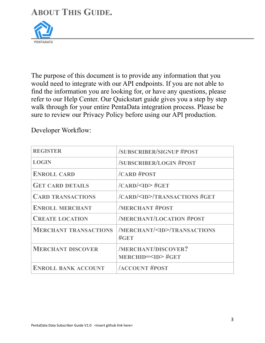### **ABOUT THIS GUIDE.**



The purpose of this document is to provide any information that you would need to integrate with our API endpoints. If you are not able to find the information you are looking for, or have any questions, please refer to our Help Center. Our Quickstart guide gives you a step by step walk through for your entire PentaData integration process. Please be sure to review our Privacy Policy before using our API production.

Developer Workflow:

| <b>REGISTER</b>              | <b>/SUBSCRIBER/SIGNUP #POST</b>                          |
|------------------------------|----------------------------------------------------------|
| <b>LOGIN</b>                 | <b>/SUBSCRIBER/LOGIN #POST</b>                           |
| <b>ENROLL CARD</b>           | /CARD #POST                                              |
| <b>GET CARD DETAILS</b>      | $/CARD/SD$ #GET                                          |
| <b>CARD TRANSACTIONS</b>     | /CARD/ <id>/TRANSACTIONS #GET</id>                       |
| <b>ENROLL MERCHANT</b>       | <b>MERCHANT #POST</b>                                    |
| <b>CREATE LOCATION</b>       | <b>/MERCHANT/LOCATION #POST</b>                          |
| <b>MERCHANT TRANSACTIONS</b> | /MERCHANT/ <id>/TRANSACTIONS<br/><math>\#GET</math></id> |
| <b>MERCHANT DISCOVER</b>     | <b>/MERCHANT/DISCOVER?</b><br>MERCHID= <id>#GET</id>     |
| <b>ENROLL BANK ACCOUNT</b>   | <b>ACCOUNT #POST</b>                                     |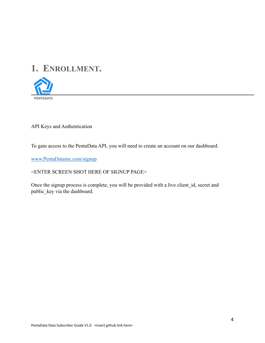# **1. ENROLLMENT.**



API Keys and Authentication

To gain access to the PentaData API, you will need to create an account on our dashboard.

[www.PentaDatainc.com/signup](http://www.PentaDatainc.com/signup)

### <ENTER SCREEN SHOT HERE OF SIGNUP PAGE>

Once the signup process is complete, you will be provided with a live client\_id, secret and public\_key via the dashboard.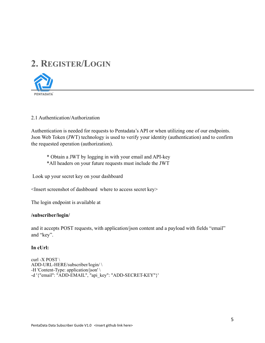### **2. REGISTER/LOGIN**



### 2.1 Authentication/Authorization

Authentication is needed for requests to Pentadata's API or when utilizing one of our endpoints. Json Web Token (JWT) technology is used to verify your identity (authentication) and to confirm the requested operation (authorization).

\* Obtain a JWT by logging in with your email and API-key

\*All headers on your future requests must include the JWT

Look up your secret key on your dashboard

<Insert screenshot of dashboard where to access secret key>

The login endpoint is available at

### **/subscriber/login/**

and it accepts POST requests, with application/json content and a payload with fields "email" and "key".

### **In cUrl:**

```
curl -X POST \setminusADD-URL-HERE/subscriber/login/ \ 
-H 'Content-Type: application/json' \ 
-d '{"email": "ADD-EMAIL", "api_key": "ADD-SECRET-KEY"}'
```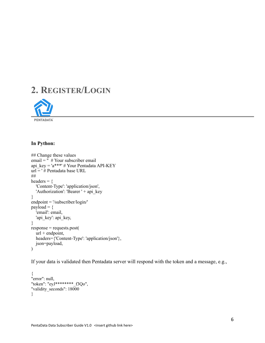# **2. REGISTER/LOGIN**



### **In Python:**

```
## Change these values 
email = \frac{1}{x} # Your subscriber email
api key = 'a***' # Your Pentadata API-KEY
url = ' # Pentadata base URL 
## 
headers = {
   'Content-Type': 'application/json', 
  'Authorization': 'Bearer ' + api key
} 
endpoint = '/subscriber/login/' 
payload = {
   'email': email, 
  'api key': api key,
} 
response = requests.post( 
  \bar{u}rl + endpoint,
   headers={'Content-Type': 'application/json'}, 
   json=payload, 
)
```
If your data is validated then Pentadata server will respond with the token and a message, e.g.,

```
{ 
"error": null,
"token": "eyJ********_f3Qo", 
"validity_seconds": 18000 
}
```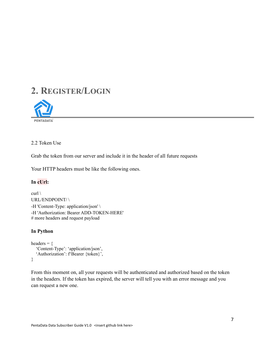### **2. REGISTER/LOGIN**



### 2.2 Token Use

Grab the token from our server and include it in the header of all future requests

Your HTTP headers must be like the following ones.

### **In cUrl:**

curl  $\setminus$ URL/ENDPOINT/ \ -H 'Content-Type: application/json' \ -H 'Authorization: Bearer ADD-TOKEN-HERE' # more headers and request payload

### **In Python**

```
headers = {
   'Content-Type': 'application/json', 
   'Authorization': f'Bearer {token}', 
}
```
From this moment on, all your requests will be authenticated and authorized based on the token in the headers. If the token has expired, the server will tell you with an error message and you can request a new one.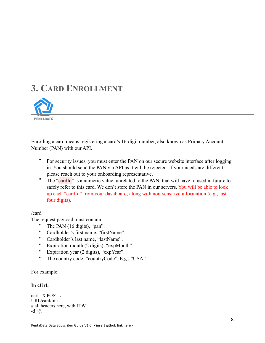### **3. CARD ENROLLMENT**



Enrolling a card means registering a card's 16-digit number, also known as Primary Account Number (PAN) with our API.

- For security issues, you must enter the PAN on our secure website interface after logging in. You should send the PAN via API as it will be rejected. If your needs are different, please reach out to your onboarding representative.
- The "cardId" is a numeric value, unrelated to the PAN, that will have to used in future to safely refer to this card. We don't store the PAN in our servers. You will be able to look up each "cardId" from your dashboard, along with non-sensitive information (e.g., last four digits).

### /card

The request payload must contain:

- The PAN (16 digits), "pan".
- Cardholder's first name, "firstName".
- Cardholder's last name, "lastName".
- Expiration month (2 digits), "expMonth".
- Expiration year (2 digits), "expYear".
- The country code, "countryCode". E.g., "USA".

For example:

### **In cUrl:**

curl –X POST \ URL/card/link # all headers here, with JTW -d  $\langle \rangle$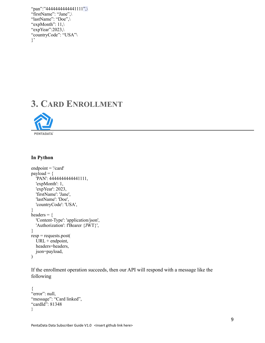```
"pan":"4444444444441111",\
"firstName": "Jane",\ 
"lastName": "Doe",\ 
"expMonth": 11,
"expYear":2023,\
"countryCode": "USA"\ 
}'
```
### **3. CARD ENROLLMENT**



#### **In Python**

```
endpoint = \frac{1}{\cosh(1)}payload = {
    'PAN': 4444444444441111, 
    'expMonth': 1, 
    'expYear': 2023, 
    'firstName': 'Jane', 
    'lastName': 'Doe', 
    'countryCode': 'USA', 
} 
headers = {
    'Content-Type': 'application/json', 
   'Authorization': f'Bearer {JWT}',
} 
resp = requests.post( 
   \overline{URL} + \overline{endpoint},
    headers=headers, 
   json=payload, 
\mathcal{L}
```
If the enrollment operation succeeds, then our API will respond with a message like the following

```
{ 
"error": null,
"message": "Card linked",
"cardId": 81348
}
```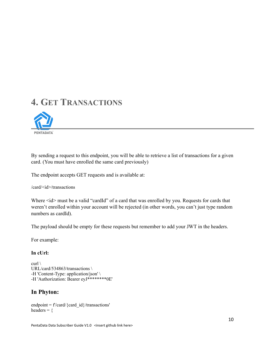# **4. GET TRANSACTIONS**



By sending a request to this endpoint, you will be able to retrieve a list of transactions for a given card. (You must have enrolled the same card previously)

The endpoint accepts GET requests and is available at:

/card/<id>/transactions

Where  $\leq id$  must be a valid "cardId" of a card that was enrolled by you. Requests for cards that weren't enrolled within your account will be rejected (in other words, you can't just type random numbers as cardId).

The payload should be empty for these requests but remember to add your JWT in the headers.

For example:

### **In cUrl:**

```
curl \setminusURL/card/534863/transactions \ 
-H 'Content-Type: application/json' \ 
-H 'Authorization: Bearer eyJ********0E'
```
### **In Phyton:**

endpoint =  $f/card/{\text{card}}$  id}/transactions' headers  $=$  {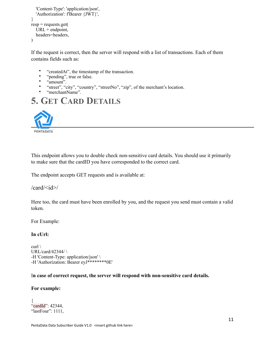```
 'Content-Type': 'application/json', 
   'Authorization': f'Bearer {JWT}', 
} 
resp = requests.get(URL + endpoint,
   headers=headers, 
\lambda
```
If the request is correct, then the server will respond with a list of transactions. Each of them contains fields such as:

- "createdAt", the timestamp of the transaction.
- "pending", true or false.
- "amount".
- "street", "city", "country", "streetNo", "zip", of the merchant's location.
- "merchantName".

### **5. GET CARD DETAILS**



This endpoint allows you to double check non-sensitive card details. You should use it primarily to make sure that the cardID you have corresponded to the correct card.

The endpoint accepts GET requests and is available at:

 $\ell$ card $\ell$ id $\geq$ 

Here too, the card must have been enrolled by you, and the request you send must contain a valid token.

For Example:

### **In cUrl:**

curl  $\setminus$ URL/card/42344/ $\backslash$ -H 'Content-Type: application/json' \ -H 'Authorization: Bearer eyJ\*\*\*\*\*\*\*\*0E'

### I**n case of correct request, the server will respond with non-sensitive card details.**

#### **For example:**

```
{ 
"cardId": 42344,
"lastFour": 1111,
```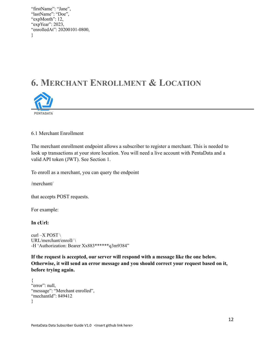"firstName": "Jane", "lastName": "Doe", "expMonth": 12, "expYear": 2023, "enrolledAt": 20200101-0800, }

### **6. MERCHANT ENROLLMENT & LOCATION**



6.1 Merchant Enrollment

The merchant enrollment endpoint allows a subscriber to register a merchant. This is needed to look up transactions at your store location. You will need a live account with PentaData and a valid API token (JWT). See Section 1.

To enroll as a merchant, you can query the endpoint

/merchant/

that accepts POST requests.

For example:

**In cUrl:** 

curl –X POST  $\setminus$ URL/merchant/enroll/ \ -H 'Authorization: Bearer Xx883\*\*\*\*\*\*q3m9384"

**If the request is accepted, our server will respond with a message like the one below. Otherwise, it will send an error message and you should correct your request based on it, before trying again.** 

```
{ 
"error": null,
"message": "Merchant enrolled",
"mechantId": 849412
}
```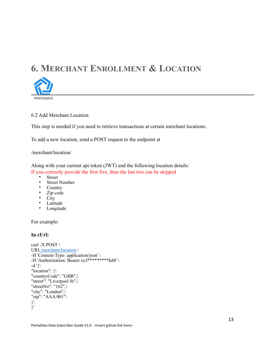# **6. MERCHANT ENROLLMENT & LOCATION**



### 6.2 Add Merchant Location

This step is needed if you need to retrieve transactions at certain merchant locations.

To add a new location, send a POST request to the endpoint at

#### /merchant/location/

Along with your current api token (JWT) and the following location details: If you correctly provide the first five, then the last two can be skipped

- **Street**
- Street Number<br>• Country
- Country
- Zip code
- City
- Latitude
- Longitude

For example:

### **In cUrl:**

```
curl -X POST \setminusURL/merchant/location \ 
-H 'Content-Type: application/json' \ 
-H 'Authorization: Bearer eyJ*********kd4' \ 
-d '\{\}"location": {\ 
"countryCode": "GBR",\ 
"street": "Liverpool St",
"streetNo": "162",
"city": "London",\ 
"zip": "AAA 001"\
}\ 
}'
```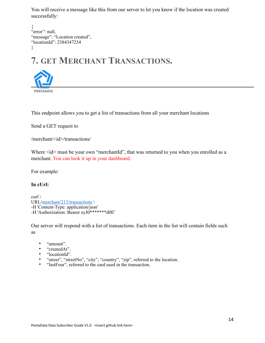You will receive a message like this from our server to let you know if the location was created successfully:

```
{ 
"error": null, 
"message": "Location created",
"locationId": 2384347234 
}
```
# **7. GET MERCHANT TRANSACTIONS.**



This endpoint allows you to get a list of transactions from all your merchant locations

Send a GET request to

/merchant/<id>/transactions/

Where  $\langle id \rangle$  must be your own "merchantId", that was returned to you when you enrolled as a merchant. You can look it up in your dashboard.

For example:

### **In cUrl:**

curl  $\setminus$ URL/merchant/213/transactions \ -H 'Content-Type: application/json' -H 'Authorization: Bearer eyJ0\*\*\*\*\*\*\*d0E'

Our server will respond with a list of transactions. Each item in the list will contain fields such as

- "amount".
- "createdAt".
- "locationId".
- "street", "streetNo", "city", "country", "zip", referred to the location.
- "lastFour", referred to the card used in the transaction.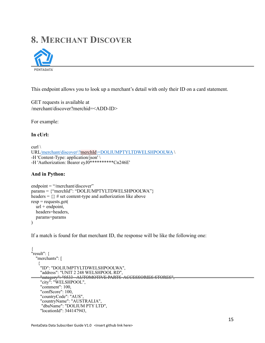### **8. MERCHANT DISCOVER**



This endpoint allows you to look up a merchant's detail with only their ID on a card statement.

GET requests is available at /merchant/discover?merchid=<ADD-ID>

For example:

### **In cUrl:**

```
curl \setminusURL/merchant/discover\?merchId\=DOLIUMPTYLTDWELSHPOOLWA \ 
-H 'Content-Type: application/json' \ 
-H 'Authorization: Bearer eyJ0**********Cn246E'
```
### **And in Python:**

```
endpoint = "/merchant/discover" 
params = {"merchId": "DOLIUMPTYLTDWELSHPOOLWA"} 
headers = \{\} # set content-type and authorization like above
resp = requests.get(url + endpoint, headers=headers, 
   params=params 
\lambda
```
If a match is found for that merchant ID, the response will be like the following one:

```
{ 
"result": { 
   "merchants": [ 
\left\{\right\} "ID": "DOLIUMPTYLTDWELSHPOOLWA", 
     "address": "UNIT 2 248 WELSHPOOL RD", 
 "category": "5533 - AUTOMOTIVE PARTS ACCESSORIES STORES", 
 "city": "WELSHPOOL", 
     "comment": 100, 
     "confScore": 100, 
     "countryCode": "AUS", 
 "countryName": "AUSTRALIA", 
 "dbaName": "DOLIUM PTY LTD", 
     "locationId": 344147943,
```